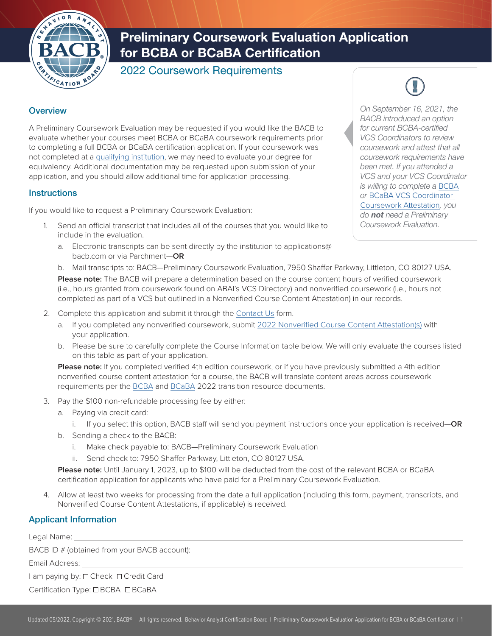

# Preliminary Coursework Evaluation Application for BCBA or BCaBA Certification

2022 Coursework Requirements

## **Overview**

A Preliminary Coursework Evaluation may be requested if you would like the BACB to evaluate whether your courses meet BCBA or BCaBA coursework requirements prior to completing a full BCBA or BCaBA certification application. If your coursework was not completed at a [qualifying institution,](https://www.bacb.com/bcba-handbook#glossary) we may need to evaluate your degree for equivalency. Additional documentation may be requested upon submission of your application, and you should allow additional time for application processing.

### **Instructions**

If you would like to request a Preliminary Coursework Evaluation:

- 1. Send an official transcript that includes all of the courses that you would like to include in the evaluation.
	- a. Electronic transcripts can be sent directly by the institution to applications@ bacb.com or via Parchment—**OR**

*On September 16, 2021, the BACB introduced an option for current BCBA-certified VCS Coordinators to review coursework and attest that all coursework requirements have been met. If you attended a VCS and your VCS Coordinator is willing to complete a* [BCBA](https://www.bacb.com/wp-content/bcba_vcs_course_content_attestation) *or* [BCaBA VCS Coordinator](https://www.bacb.com/wp-content/bcaba_vcs_course_content_attestation)  [Coursework Attestation](https://www.bacb.com/wp-content/bcaba_vcs_course_content_attestation)*, you do not need a Preliminary Coursework Evaluation.* 

b. Mail transcripts to: BACB—Preliminary Coursework Evaluation, 7950 Shaffer Parkway, Littleton, CO 80127 USA. **Please note:** The BACB will prepare a determination based on the course content hours of verified coursework (i.e., hours granted from coursework found on ABAI's VCS Directory) and nonverified coursework (i.e., hours not

completed as part of a VCS but outlined in a Nonverified Course Content Attestation) in our records.

- 2. Complete this application and submit it through the [Contact Us](https://www.bacb.com/contact-us/) form.
	- a. If you completed any nonverified coursework, submit [2022 Nonverified Course Content Attestation\(s\)](https://www.bacb.com/wp-content/Course-Content-Attestation) with your application.
	- b. Please be sure to carefully complete the Course Information table below. We will only evaluate the courses listed on this table as part of your application.

**Please note:** If you completed verified 4th edition coursework, or if you have previously submitted a 4th edition nonverified course content attestation for a course, the BACB will translate content areas across coursework requirements per the [BCBA](https://www.bacb.com/2022-BCBA-transition-resource/) and [BCaBA](https://www.bacb.com/2022-BCaBA-transition-resource/) 2022 transition resource documents.

- 3. Pay the \$100 non-refundable processing fee by either:
	- a. Paying via credit card:
		- i. If you select this option, BACB staff will send you payment instructions once your application is received—**OR**
	- b. Sending a check to the BACB:
		- i. Make check payable to: BACB—Preliminary Coursework Evaluation
		- ii. Send check to: 7950 Shaffer Parkway, Littleton, CO 80127 USA.

**Please note:** Until January 1, 2023, up to \$100 will be deducted from the cost of the relevant BCBA or BCaBA certification application for applicants who have paid for a Preliminary Coursework Evaluation.

4. Allow at least two weeks for processing from the date a full application (including this form, payment, transcripts, and Nonverified Course Content Attestations, if applicable) is received.

# Applicant Information

Legal Name:

BACB ID # (obtained from your BACB account): \_\_\_\_\_\_\_\_\_\_\_\_\_\_\_\_\_\_\_\_\_\_\_\_\_\_\_\_\_\_\_\_\_\_\_

Email Address:

I am paying by:  $\Box$  Check  $\Box$  Credit Card

Certification Type: □ BCBA □ BCaBA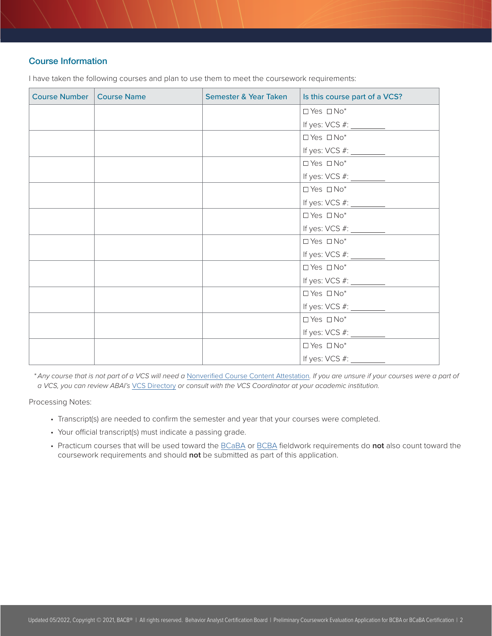### Course Information

Course Number | Course Name | Semester & Year Taken | Is this course part of a VCS?  $\Box$  Yes  $\Box$  No\* If yes: VCS #:  $\Box$  Yes  $\Box$  No\* If yes: VCS #:  $\Box$  Yes  $\Box$  No\* If yes: VCS #:  $\Box$  Yes  $\Box$  No\* If yes: VCS #:  $\Box$  Yes  $\Box$  No\* If yes: VCS #:  $\Box$  Yes  $\Box$  No\* If yes: VCS #:  $\Box$  Yes  $\Box$  No\* If yes: VCS #:  $\Box$  Yes  $\Box$  No\* If yes: VCS #:  $\Box$  Yes  $\Box$  No\* If yes: VCS #:  $\Box$  Yes  $\Box$  No\* If yes: VCS #:

I have taken the following courses and plan to use them to meet the coursework requirements:

*\* Any course that is not part of a VCS will need a* [Nonverified Course Content Attestation](https://www.bacb.com/wp-content/Course-Content-Attestation)*. If you are unsure if your courses were a part of a VCS, you can review ABAI's* [VCS Directory](https://www.abainternational.org/vcs/directory.aspx) *or consult with the VCS Coordinator at your academic institution.*

Processing Notes:

- Transcript(s) are needed to confirm the semester and year that your courses were completed.
- Your official transcript(s) must indicate a passing grade.
- Practicum courses that will be used toward the [BCaBA](https://www.bacb.com/BCaBA-Handbook#Experience%20Requirements) or [BCBA](https://www.bacb.com/BCBA-Handbook#Experience%20Requirements) fieldwork requirements do **not** also count toward the coursework requirements and should **not** be submitted as part of this application.